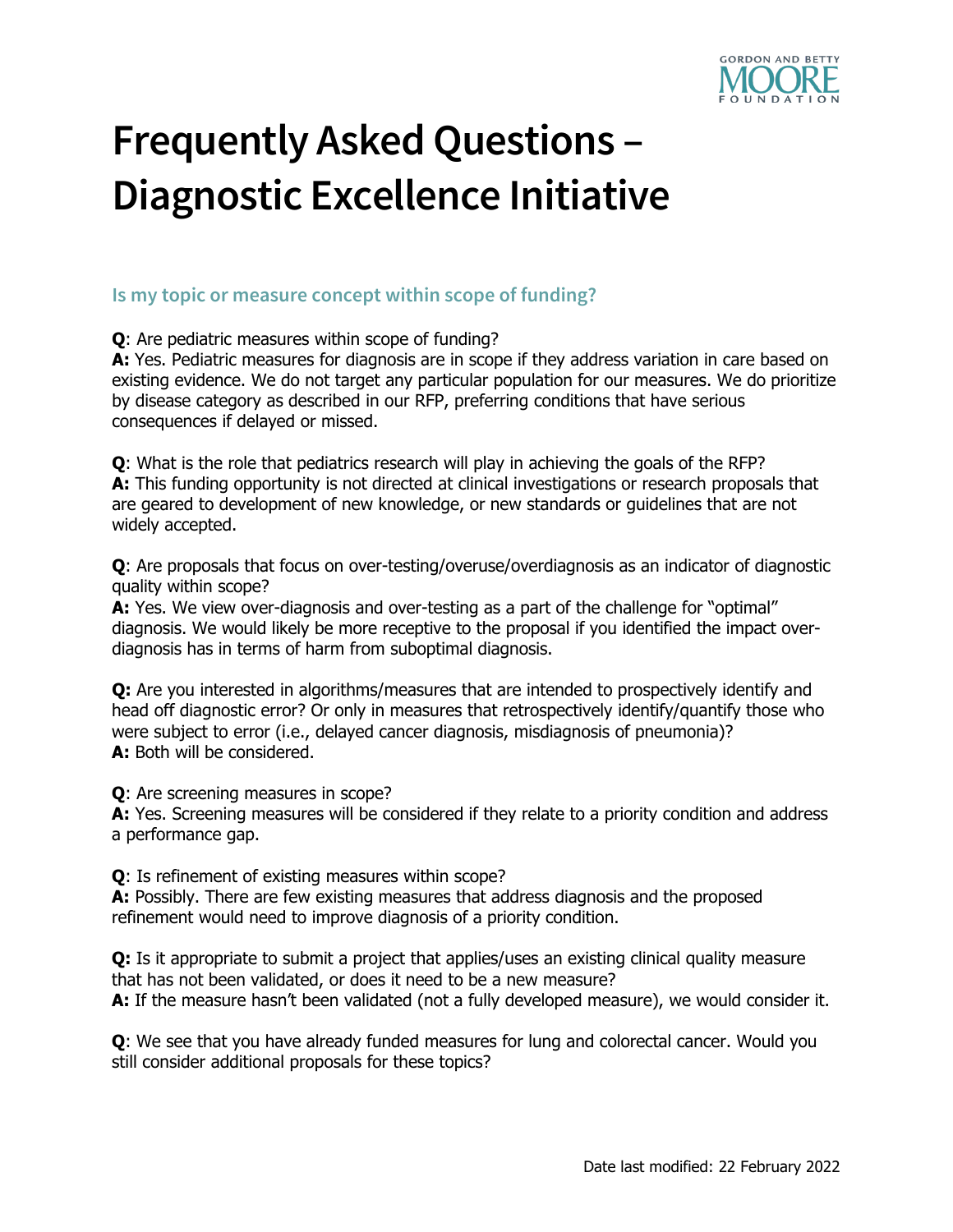

# **Frequently Asked Questions – Diagnostic Excellence Initiative**

## **Is my topic or measure concept within scope of funding?**

**Q**: Are pediatric measures within scope of funding?

A: Yes. Pediatric measures for diagnosis are in scope if they address variation in care based on existing evidence. We do not target any particular population for our measures. We do prioritize by disease category as described in our RFP, preferring conditions that have serious consequences if delayed or missed.

**Q**: What is the role that pediatrics research will play in achieving the goals of the RFP? **A:** This funding opportunity is not directed at clinical investigations or research proposals that are geared to development of new knowledge, or new standards or guidelines that are not widely accepted.

**Q**: Are proposals that focus on over-testing/overuse/overdiagnosis as an indicator of diagnostic quality within scope?

**A:** Yes. We view over-diagnosis and over-testing as a part of the challenge for "optimal" diagnosis. We would likely be more receptive to the proposal if you identified the impact overdiagnosis has in terms of harm from suboptimal diagnosis.

**Q:** Are you interested in algorithms/measures that are intended to prospectively identify and head off diagnostic error? Or only in measures that retrospectively identify/quantify those who were subject to error (i.e., delayed cancer diagnosis, misdiagnosis of pneumonia)? **A:** Both will be considered.

**Q**: Are screening measures in scope?

**A:** Yes. Screening measures will be considered if they relate to a priority condition and address a performance gap.

**Q**: Is refinement of existing measures within scope?

**A:** Possibly. There are few existing measures that address diagnosis and the proposed refinement would need to improve diagnosis of a priority condition.

**Q:** Is it appropriate to submit a project that applies/uses an existing clinical quality measure that has not been validated, or does it need to be a new measure? A: If the measure hasn't been validated (not a fully developed measure), we would consider it.

**Q**: We see that you have already funded measures for lung and colorectal cancer. Would you still consider additional proposals for these topics?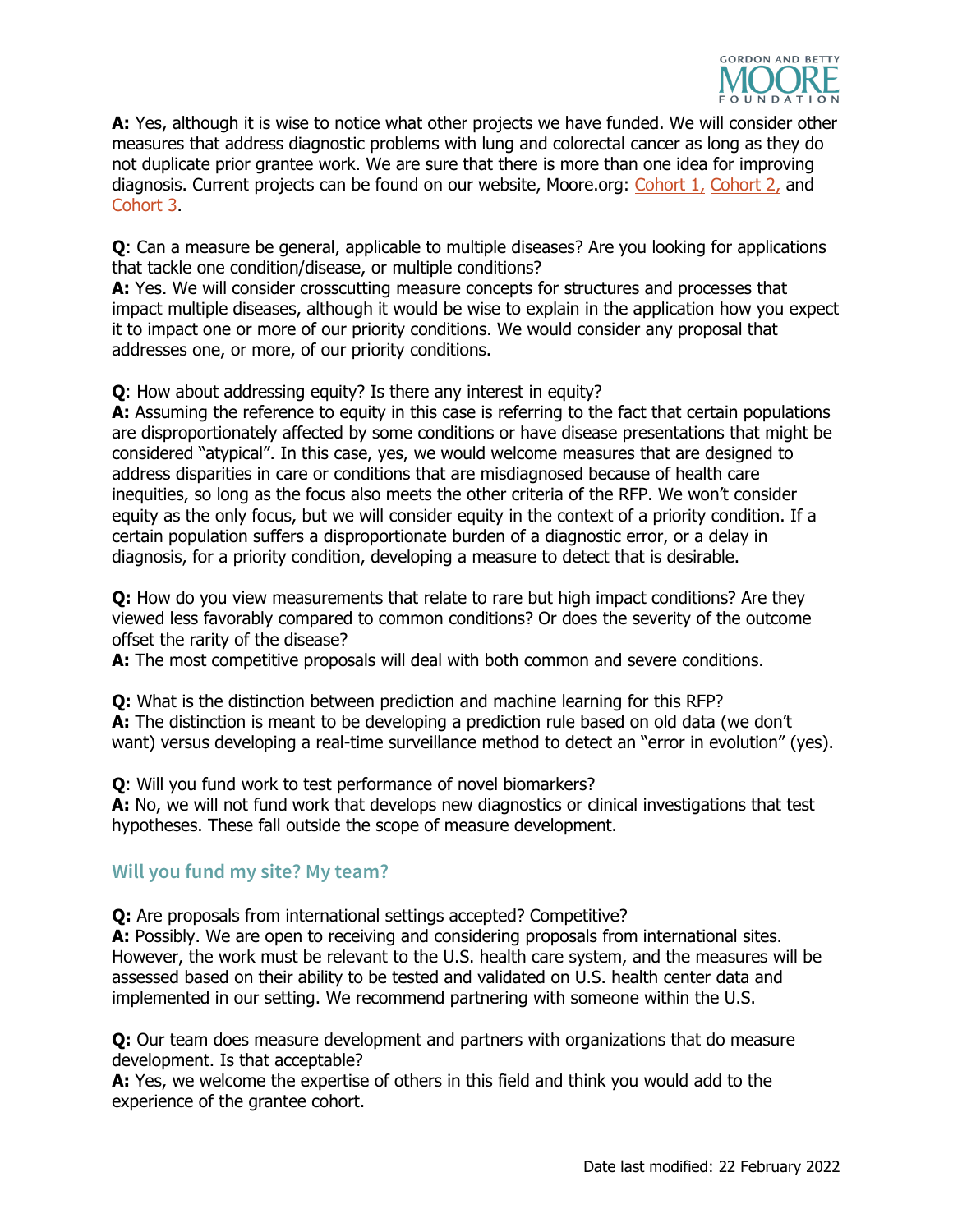

**A:** Yes, although it is wise to notice what other projects we have funded. We will consider other measures that address diagnostic problems with lung and colorectal cancer as long as they do not duplicate prior grantee work. We are sure that there is more than one idea for improving diagnosis. Current projects can be found on our website, Moore.org: [Cohort 1,](https://www.moore.org/article-detail?newsUrlName=new-projects-aim-to-develop-clinical-quality-measures-to-improve-diagnosis) [Cohort 2,](https://www.moore.org/article-detail?newsUrlName=second-cohort-of-grantees-aim-to-develop-novel-clinical-quality-measures-to-improve-diagnosis) and [Cohort 3.](https://www.moore.org/article-detail?newsUrlName=third-cohort-of-patient-care-grantees-develop-ideas-for-improving-diagnosis)

**Q**: Can a measure be general, applicable to multiple diseases? Are you looking for applications that tackle one condition/disease, or multiple conditions?

**A:** Yes. We will consider crosscutting measure concepts for structures and processes that impact multiple diseases, although it would be wise to explain in the application how you expect it to impact one or more of our priority conditions. We would consider any proposal that addresses one, or more, of our priority conditions.

**Q**: How about addressing equity? Is there any interest in equity?

**A:** Assuming the reference to equity in this case is referring to the fact that certain populations are disproportionately affected by some conditions or have disease presentations that might be considered "atypical". In this case, yes, we would welcome measures that are designed to address disparities in care or conditions that are misdiagnosed because of health care inequities, so long as the focus also meets the other criteria of the RFP. We won't consider equity as the only focus, but we will consider equity in the context of a priority condition. If a certain population suffers a disproportionate burden of a diagnostic error, or a delay in diagnosis, for a priority condition, developing a measure to detect that is desirable.

**Q:** How do you view measurements that relate to rare but high impact conditions? Are they viewed less favorably compared to common conditions? Or does the severity of the outcome offset the rarity of the disease?

**A:** The most competitive proposals will deal with both common and severe conditions.

**Q:** What is the distinction between prediction and machine learning for this RFP? **A:** The distinction is meant to be developing a prediction rule based on old data (we don't want) versus developing a real-time surveillance method to detect an "error in evolution" (yes).

**Q**: Will you fund work to test performance of novel biomarkers?

**A:** No, we will not fund work that develops new diagnostics or clinical investigations that test hypotheses. These fall outside the scope of measure development.

## **Will you fund my site? My team?**

**Q:** Are proposals from international settings accepted? Competitive?

**A:** Possibly. We are open to receiving and considering proposals from international sites. However, the work must be relevant to the U.S. health care system, and the measures will be assessed based on their ability to be tested and validated on U.S. health center data and implemented in our setting. We recommend partnering with someone within the U.S.

**Q:** Our team does measure development and partners with organizations that do measure development. Is that acceptable?

**A:** Yes, we welcome the expertise of others in this field and think you would add to the experience of the grantee cohort.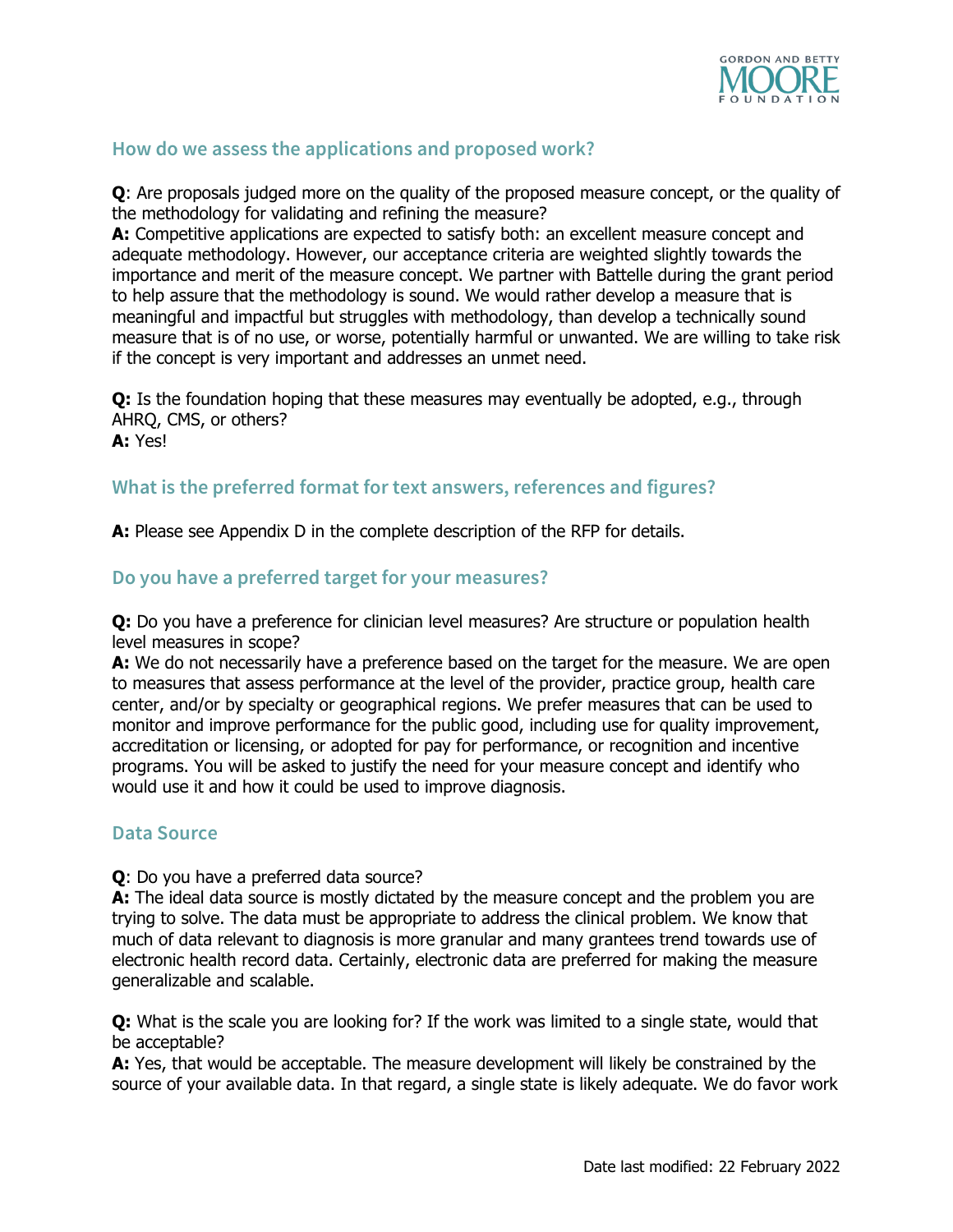

# **How do we assess the applications and proposed work?**

**Q**: Are proposals judged more on the quality of the proposed measure concept, or the quality of the methodology for validating and refining the measure?

**A:** Competitive applications are expected to satisfy both: an excellent measure concept and adequate methodology. However, our acceptance criteria are weighted slightly towards the importance and merit of the measure concept. We partner with Battelle during the grant period to help assure that the methodology is sound. We would rather develop a measure that is meaningful and impactful but struggles with methodology, than develop a technically sound measure that is of no use, or worse, potentially harmful or unwanted. We are willing to take risk if the concept is very important and addresses an unmet need.

**Q:** Is the foundation hoping that these measures may eventually be adopted, e.g., through AHRQ, CMS, or others? **A:** Yes!

#### **What is the preferred format for text answers, references and figures?**

**A:** Please see Appendix D in the complete description of the RFP for details.

#### **Do you have a preferred target for your measures?**

**Q:** Do you have a preference for clinician level measures? Are structure or population health level measures in scope?

**A:** We do not necessarily have a preference based on the target for the measure. We are open to measures that assess performance at the level of the provider, practice group, health care center, and/or by specialty or geographical regions. We prefer measures that can be used to monitor and improve performance for the public good, including use for quality improvement, accreditation or licensing, or adopted for pay for performance, or recognition and incentive programs. You will be asked to justify the need for your measure concept and identify who would use it and how it could be used to improve diagnosis.

#### **Data Source**

**Q**: Do you have a preferred data source?

A: The ideal data source is mostly dictated by the measure concept and the problem you are trying to solve. The data must be appropriate to address the clinical problem. We know that much of data relevant to diagnosis is more granular and many grantees trend towards use of electronic health record data. Certainly, electronic data are preferred for making the measure generalizable and scalable.

**Q:** What is the scale you are looking for? If the work was limited to a single state, would that be acceptable?

**A:** Yes, that would be acceptable. The measure development will likely be constrained by the source of your available data. In that regard, a single state is likely adequate. We do favor work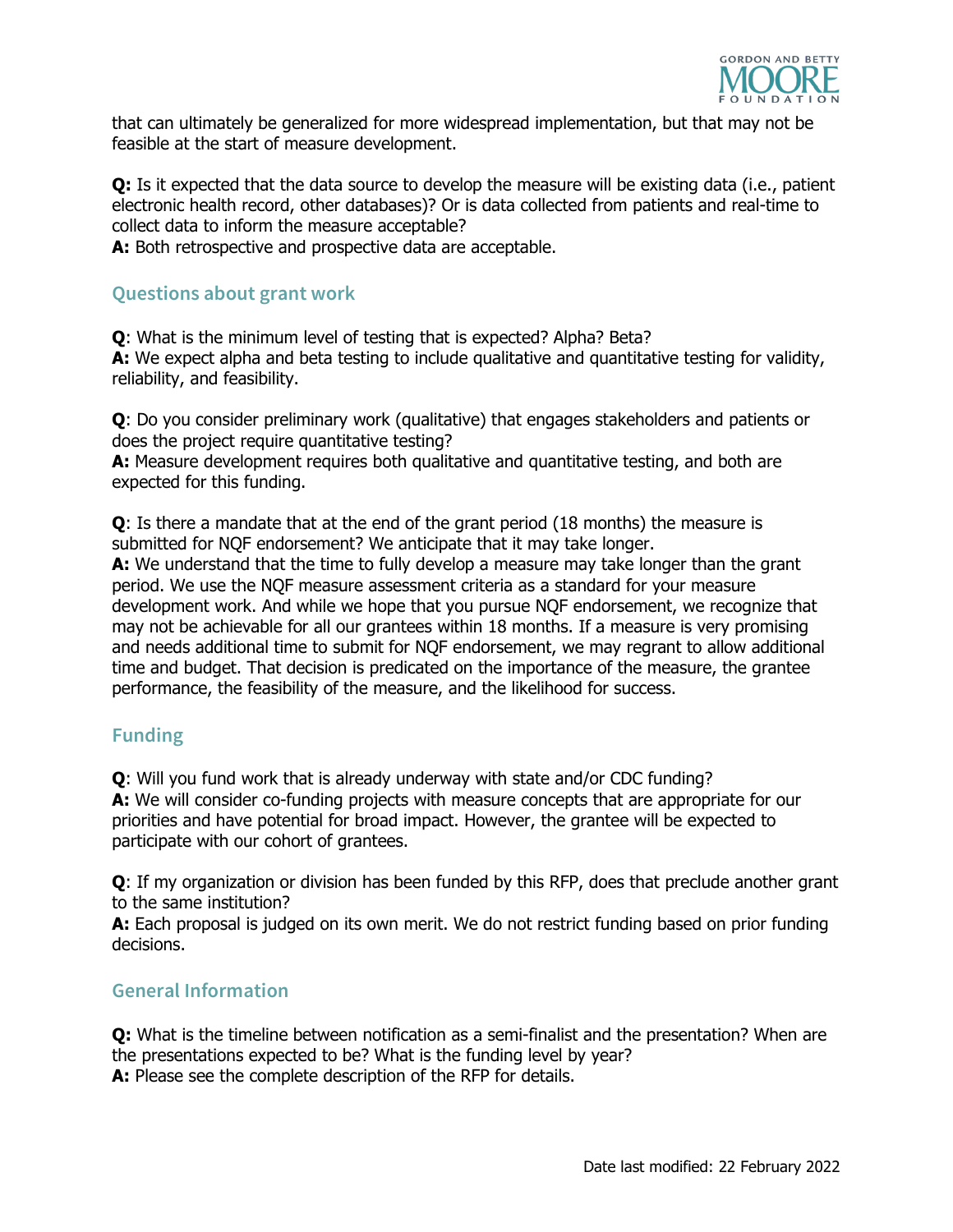

that can ultimately be generalized for more widespread implementation, but that may not be feasible at the start of measure development.

**Q:** Is it expected that the data source to develop the measure will be existing data (i.e., patient electronic health record, other databases)? Or is data collected from patients and real-time to collect data to inform the measure acceptable?

**A:** Both retrospective and prospective data are acceptable.

# **Questions about grant work**

**Q**: What is the minimum level of testing that is expected? Alpha? Beta? **A:** We expect alpha and beta testing to include qualitative and quantitative testing for validity, reliability, and feasibility.

**Q**: Do you consider preliminary work (qualitative) that engages stakeholders and patients or does the project require quantitative testing?

A: Measure development requires both qualitative and quantitative testing, and both are expected for this funding.

**Q**: Is there a mandate that at the end of the grant period (18 months) the measure is submitted for NQF endorsement? We anticipate that it may take longer.

**A:** We understand that the time to fully develop a measure may take longer than the grant period. We use the NQF measure assessment criteria as a standard for your measure development work. And while we hope that you pursue NQF endorsement, we recognize that may not be achievable for all our grantees within 18 months. If a measure is very promising and needs additional time to submit for NQF endorsement, we may regrant to allow additional time and budget. That decision is predicated on the importance of the measure, the grantee performance, the feasibility of the measure, and the likelihood for success.

## **Funding**

**Q**: Will you fund work that is already underway with state and/or CDC funding? A: We will consider co-funding projects with measure concepts that are appropriate for our priorities and have potential for broad impact. However, the grantee will be expected to participate with our cohort of grantees.

**Q**: If my organization or division has been funded by this RFP, does that preclude another grant to the same institution?

**A:** Each proposal is judged on its own merit. We do not restrict funding based on prior funding decisions.

## **General Information**

**Q:** What is the timeline between notification as a semi-finalist and the presentation? When are the presentations expected to be? What is the funding level by year? **A:** Please see the complete description of the RFP for details.